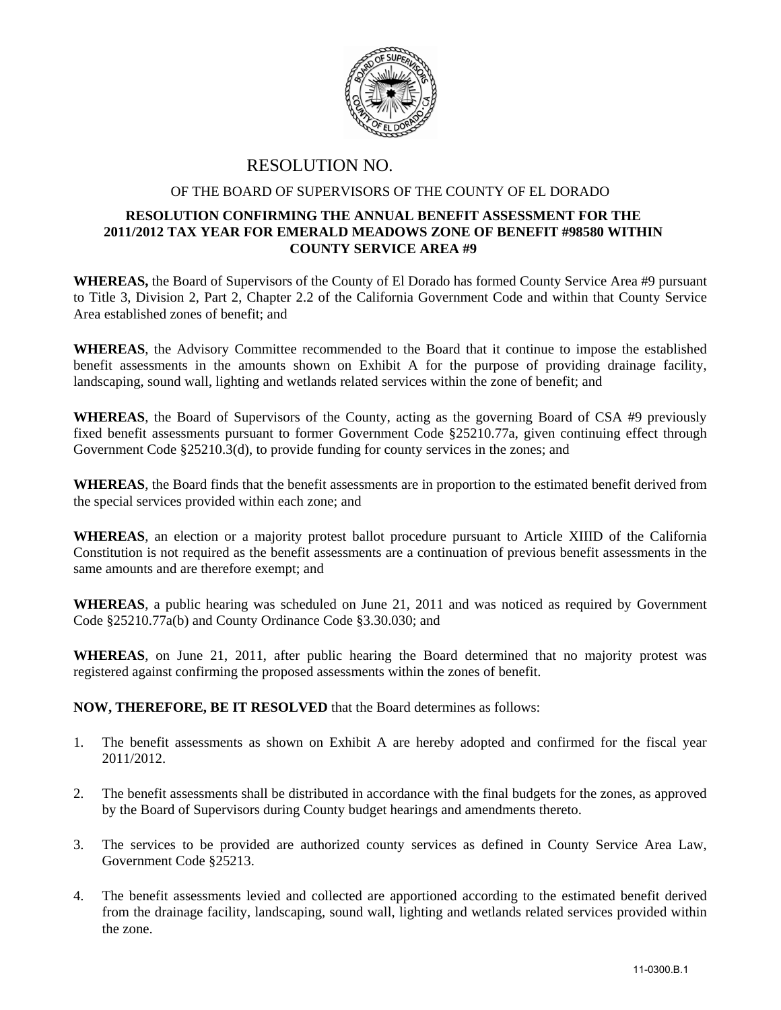

## RESOLUTION NO.

## OF THE BOARD OF SUPERVISORS OF THE COUNTY OF EL DORADO

## **RESOLUTION CONFIRMING THE ANNUAL BENEFIT ASSESSMENT FOR THE 2011/2012 TAX YEAR FOR EMERALD MEADOWS ZONE OF BENEFIT #98580 WITHIN COUNTY SERVICE AREA #9**

**WHEREAS,** the Board of Supervisors of the County of El Dorado has formed County Service Area #9 pursuant to Title 3, Division 2, Part 2, Chapter 2.2 of the California Government Code and within that County Service Area established zones of benefit; and

**WHEREAS**, the Advisory Committee recommended to the Board that it continue to impose the established benefit assessments in the amounts shown on Exhibit A for the purpose of providing drainage facility, landscaping, sound wall, lighting and wetlands related services within the zone of benefit; and

**WHEREAS**, the Board of Supervisors of the County, acting as the governing Board of CSA #9 previously fixed benefit assessments pursuant to former Government Code §25210.77a, given continuing effect through Government Code §25210.3(d), to provide funding for county services in the zones; and

**WHEREAS**, the Board finds that the benefit assessments are in proportion to the estimated benefit derived from the special services provided within each zone; and

**WHEREAS**, an election or a majority protest ballot procedure pursuant to Article XIIID of the California Constitution is not required as the benefit assessments are a continuation of previous benefit assessments in the same amounts and are therefore exempt; and

**WHEREAS**, a public hearing was scheduled on June 21, 2011 and was noticed as required by Government Code §25210.77a(b) and County Ordinance Code §3.30.030; and

**WHEREAS**, on June 21, 2011, after public hearing the Board determined that no majority protest was registered against confirming the proposed assessments within the zones of benefit.

## **NOW, THEREFORE, BE IT RESOLVED** that the Board determines as follows:

- 1. The benefit assessments as shown on Exhibit A are hereby adopted and confirmed for the fiscal year 2011/2012.
- 2. The benefit assessments shall be distributed in accordance with the final budgets for the zones, as approved by the Board of Supervisors during County budget hearings and amendments thereto.
- 3. The services to be provided are authorized county services as defined in County Service Area Law, Government Code §25213.
- 4. The benefit assessments levied and collected are apportioned according to the estimated benefit derived from the drainage facility, landscaping, sound wall, lighting and wetlands related services provided within the zone.